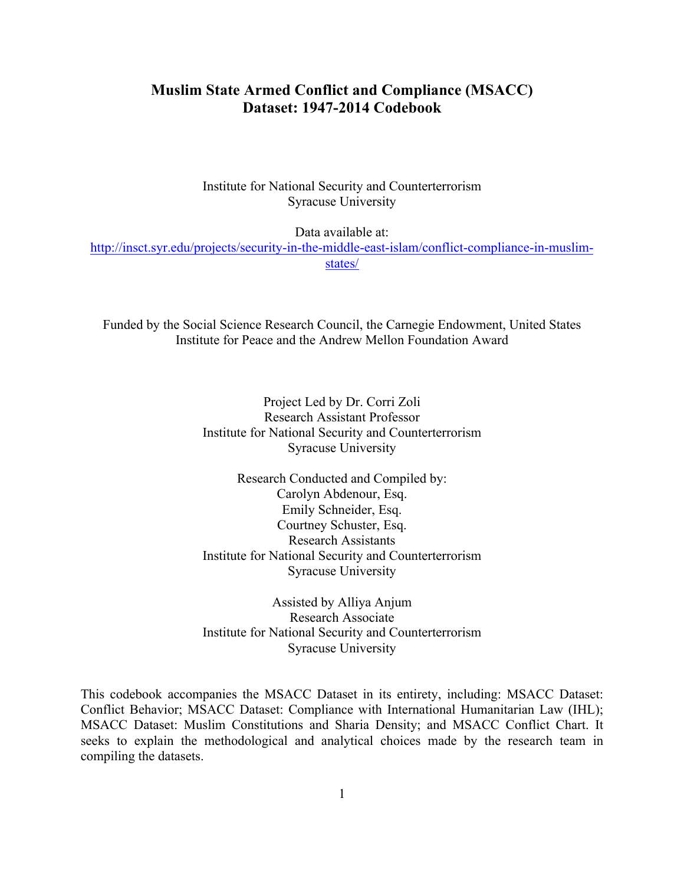# **Muslim State Armed Conflict and Compliance (MSACC) Dataset: 1947-2014 Codebook**

Institute for National Security and Counterterrorism Syracuse University

Data available at:

http://insct.syr.edu/projects/security-in-the-middle-east-islam/conflict-compliance-in-muslimstates/

Funded by the Social Science Research Council, the Carnegie Endowment, United States Institute for Peace and the Andrew Mellon Foundation Award

> Project Led by Dr. Corri Zoli Research Assistant Professor Institute for National Security and Counterterrorism Syracuse University

> Research Conducted and Compiled by: Carolyn Abdenour, Esq. Emily Schneider, Esq. Courtney Schuster, Esq. Research Assistants Institute for National Security and Counterterrorism Syracuse University

> Assisted by Alliya Anjum Research Associate Institute for National Security and Counterterrorism Syracuse University

This codebook accompanies the MSACC Dataset in its entirety, including: MSACC Dataset: Conflict Behavior; MSACC Dataset: Compliance with International Humanitarian Law (IHL); MSACC Dataset: Muslim Constitutions and Sharia Density; and MSACC Conflict Chart. It seeks to explain the methodological and analytical choices made by the research team in compiling the datasets.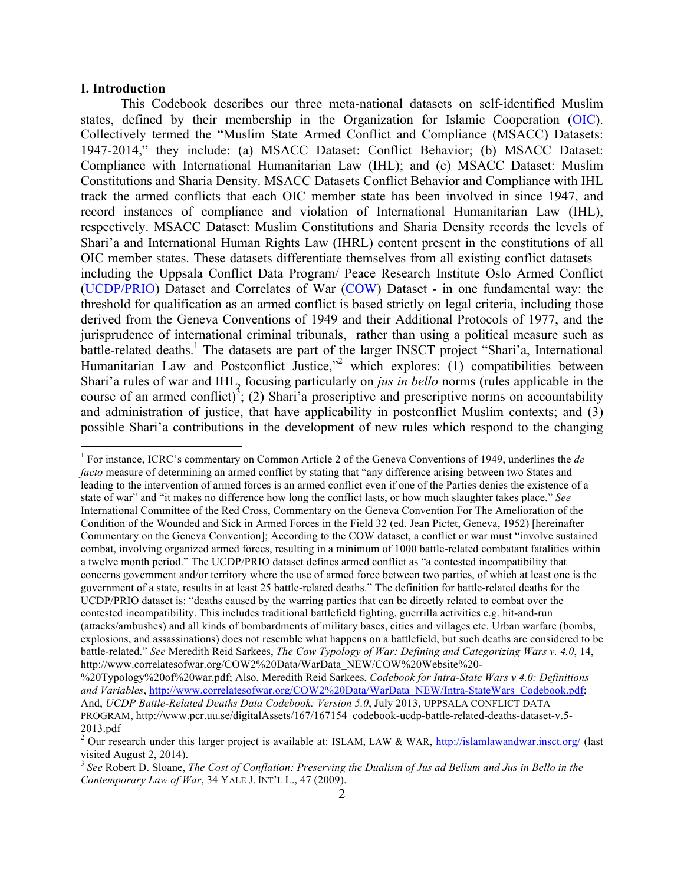#### **I. Introduction**

This Codebook describes our three meta-national datasets on self-identified Muslim states, defined by their membership in the Organization for Islamic Cooperation (OIC). Collectively termed the "Muslim State Armed Conflict and Compliance (MSACC) Datasets: 1947-2014," they include: (a) MSACC Dataset: Conflict Behavior; (b) MSACC Dataset: Compliance with International Humanitarian Law (IHL); and (c) MSACC Dataset: Muslim Constitutions and Sharia Density. MSACC Datasets Conflict Behavior and Compliance with IHL track the armed conflicts that each OIC member state has been involved in since 1947, and record instances of compliance and violation of International Humanitarian Law (IHL), respectively. MSACC Dataset: Muslim Constitutions and Sharia Density records the levels of Shari'a and International Human Rights Law (IHRL) content present in the constitutions of all OIC member states. These datasets differentiate themselves from all existing conflict datasets – including the Uppsala Conflict Data Program/ Peace Research Institute Oslo Armed Conflict (UCDP/PRIO) Dataset and Correlates of War (COW) Dataset - in one fundamental way: the threshold for qualification as an armed conflict is based strictly on legal criteria, including those derived from the Geneva Conventions of 1949 and their Additional Protocols of 1977, and the jurisprudence of international criminal tribunals, rather than using a political measure such as battle-related deaths.<sup>1</sup> The datasets are part of the larger INSCT project "Shari'a, International Humanitarian Law and Postconflict Justice,"<sup>2</sup> which explores: (1) compatibilities between Shari'a rules of war and IHL, focusing particularly on *jus in bello* norms (rules applicable in the course of an armed conflict)<sup>3</sup>; (2) Shari'a proscriptive and prescriptive norms on accountability and administration of justice, that have applicability in postconflict Muslim contexts; and (3) possible Shari'a contributions in the development of new rules which respond to the changing

 <sup>1</sup> For instance, ICRC's commentary on Common Article 2 of the Geneva Conventions of 1949, underlines the *de facto* measure of determining an armed conflict by stating that "any difference arising between two States and leading to the intervention of armed forces is an armed conflict even if one of the Parties denies the existence of a state of war" and "it makes no difference how long the conflict lasts, or how much slaughter takes place." *See* International Committee of the Red Cross, Commentary on the Geneva Convention For The Amelioration of the Condition of the Wounded and Sick in Armed Forces in the Field 32 (ed. Jean Pictet, Geneva, 1952) [hereinafter Commentary on the Geneva Convention]; According to the COW dataset, a conflict or war must "involve sustained combat, involving organized armed forces, resulting in a minimum of 1000 battle-related combatant fatalities within a twelve month period." The UCDP/PRIO dataset defines armed conflict as "a contested incompatibility that concerns government and/or territory where the use of armed force between two parties, of which at least one is the government of a state, results in at least 25 battle-related deaths." The definition for battle-related deaths for the UCDP/PRIO dataset is: "deaths caused by the warring parties that can be directly related to combat over the contested incompatibility. This includes traditional battlefield fighting, guerrilla activities e.g. hit-and-run (attacks/ambushes) and all kinds of bombardments of military bases, cities and villages etc. Urban warfare (bombs, explosions, and assassinations) does not resemble what happens on a battlefield, but such deaths are considered to be battle-related." *See* Meredith Reid Sarkees, *The Cow Typology of War: Defining and Categorizing Wars v. 4.0*, 14, http://www.correlatesofwar.org/COW2%20Data/WarData\_NEW/COW%20Website%20-

<sup>%20</sup>Typology%20of%20war.pdf; Also, Meredith Reid Sarkees, *Codebook for Intra-State Wars v 4.0: Definitions and Variables*, http://www.correlatesofwar.org/COW2%20Data/WarData\_NEW/Intra-StateWars\_Codebook.pdf; And, *UCDP Battle-Related Deaths Data Codebook: Version 5.0*, July 2013, UPPSALA CONFLICT DATA PROGRAM, http://www.pcr.uu.se/digitalAssets/167/167154\_codebook-ucdp-battle-related-deaths-dataset-v.5- 2013.pdf

<sup>&</sup>lt;sup>2</sup> Our research under this larger project is available at: ISLAM, LAW & WAR, http://islamlawandwar.insct.org/ (last visited August 2, 2014).

<sup>3</sup> *See* Robert D. Sloane, *The Cost of Conflation: Preserving the Dualism of Jus ad Bellum and Jus in Bello in the Contemporary Law of War*, 34 YALE J. INT'L L., 47 (2009).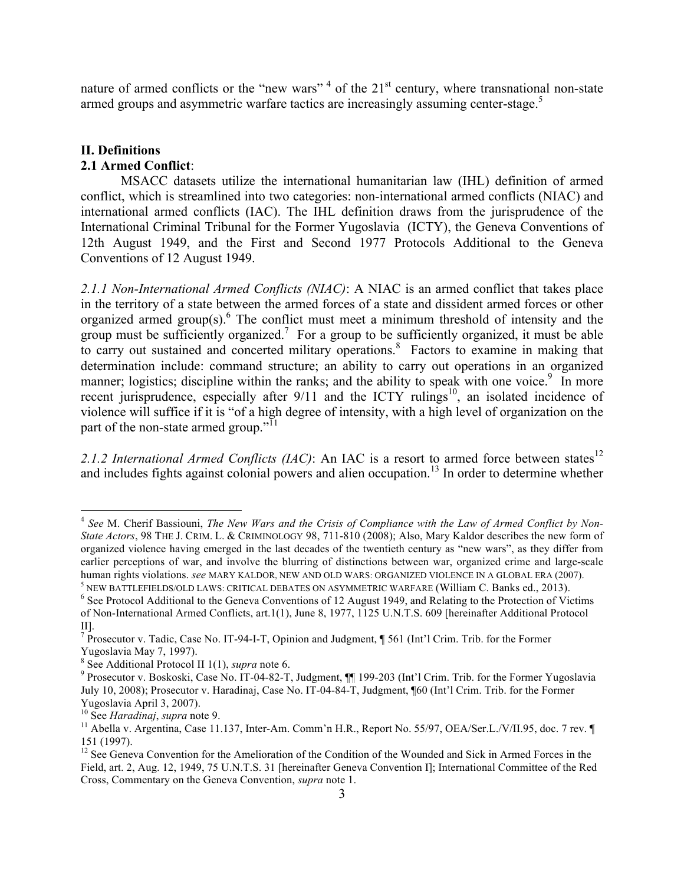nature of armed conflicts or the "new wars"<sup>4</sup> of the  $21<sup>st</sup>$  century, where transnational non-state armed groups and asymmetric warfare tactics are increasingly assuming center-stage.<sup>5</sup>

## **II. Definitions**

# **2.1 Armed Conflict**:

MSACC datasets utilize the international humanitarian law (IHL) definition of armed conflict, which is streamlined into two categories: non-international armed conflicts (NIAC) and international armed conflicts (IAC). The IHL definition draws from the jurisprudence of the International Criminal Tribunal for the Former Yugoslavia (ICTY), the Geneva Conventions of 12th August 1949, and the First and Second 1977 Protocols Additional to the Geneva Conventions of 12 August 1949.

*2.1.1 Non-International Armed Conflicts (NIAC)*: A NIAC is an armed conflict that takes place in the territory of a state between the armed forces of a state and dissident armed forces or other organized armed group(s). $6$  The conflict must meet a minimum threshold of intensity and the group must be sufficiently organized.<sup>7</sup> For a group to be sufficiently organized, it must be able to carry out sustained and concerted military operations.<sup>8</sup> Factors to examine in making that determination include: command structure; an ability to carry out operations in an organized manner; logistics; discipline within the ranks; and the ability to speak with one voice.<sup>9</sup> In more recent jurisprudence, especially after  $9/11$  and the ICTY rulings<sup>10</sup>, an isolated incidence of violence will suffice if it is "of a high degree of intensity, with a high level of organization on the part of the non-state armed group."<sup>11</sup>

2.1.2 International Armed Conflicts (IAC): An IAC is a resort to armed force between states<sup>12</sup> and includes fights against colonial powers and alien occupation.<sup>13</sup> In order to determine whether

 <sup>4</sup> *See* M. Cherif Bassiouni, *The New Wars and the Crisis of Compliance with the Law of Armed Conflict by Non-State Actors*, 98 THE J. CRIM. L. & CRIMINOLOGY 98, 711-810 (2008); Also, Mary Kaldor describes the new form of organized violence having emerged in the last decades of the twentieth century as "new wars", as they differ from earlier perceptions of war, and involve the blurring of distinctions between war, organized crime and large-scale human rights violations. *see* MARY KALDOR, NEW AND OLD WARS: ORGANIZED VIOLENCE IN A GLOBAL ERA (2007).

<sup>&</sup>lt;sup>5</sup> NEW BATTLEFIELDS/OLD LAWS: CRITICAL DEBATES ON ASYMMETRIC WARFARE (William C. Banks ed., 2013). <sup>6</sup> See Protocol Additional to the Geneva Conventions of 12 August 1949, and Relating to the Protection of Victims of Non-International Armed Conflicts, art.1(1), June 8, 1977, 1125 U.N.T.S. 609 [hereinafter Additional Protocol II].

 $^7$  Prosecutor v. Tadic, Case No. IT-94-I-T, Opinion and Judgment,  $\parallel$  561 (Int'l Crim. Trib. for the Former Yugoslavia May 7, 1997).<br><sup>8</sup> See Additional Protocol II 1(1), *supra* note 6.

<sup>&</sup>lt;sup>9</sup> Prosecutor v. Boskoski, Case No. IT-04-82-T, Judgment, ¶¶ 199-203 (Int'l Crim. Trib. for the Former Yugoslavia July 10, 2008); Prosecutor v. Haradinaj, Case No. IT-04-84-T, Judgment, ¶60 (Int'l Crim. Trib. for the Former Yugoslavia April 3, 2007).<br><sup>10</sup> See *Haradinaj, supra* note 9.

<sup>&</sup>lt;sup>11</sup> Abella v. Argentina, Case 11.137, Inter-Am. Comm'n H.R., Report No. 55/97, OEA/Ser.L./V/II.95, doc. 7 rev. ¶ 151 (1997).

<sup>&</sup>lt;sup>12</sup> See Geneva Convention for the Amelioration of the Condition of the Wounded and Sick in Armed Forces in the Field, art. 2, Aug. 12, 1949, 75 U.N.T.S. 31 [hereinafter Geneva Convention I]; International Committee of the Red Cross, Commentary on the Geneva Convention, *supra* note 1.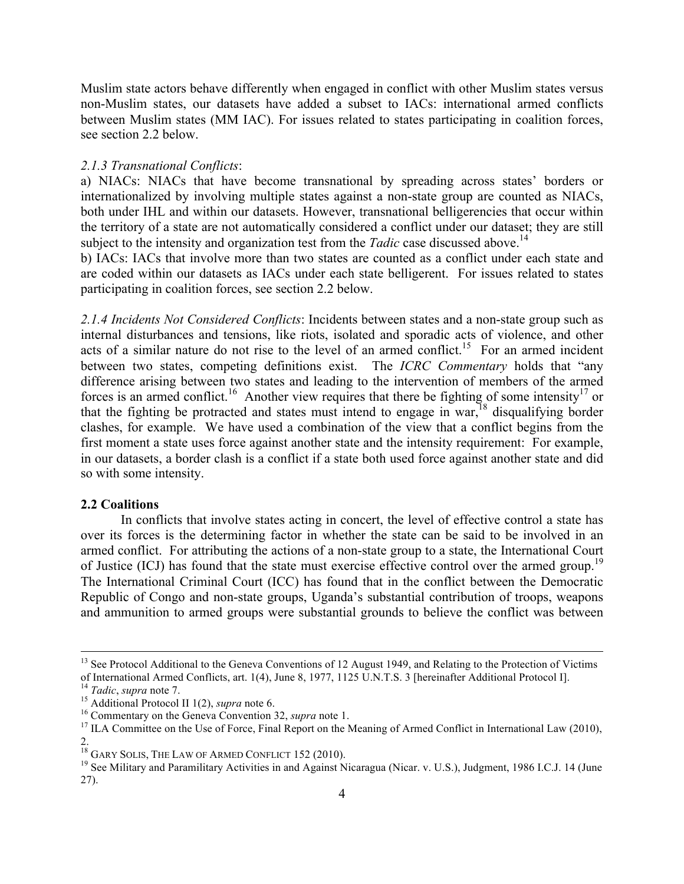Muslim state actors behave differently when engaged in conflict with other Muslim states versus non-Muslim states, our datasets have added a subset to IACs: international armed conflicts between Muslim states (MM IAC). For issues related to states participating in coalition forces, see section 2.2 below.

## *2.1.3 Transnational Conflicts*:

a) NIACs: NIACs that have become transnational by spreading across states' borders or internationalized by involving multiple states against a non-state group are counted as NIACs, both under IHL and within our datasets. However, transnational belligerencies that occur within the territory of a state are not automatically considered a conflict under our dataset; they are still subject to the intensity and organization test from the *Tadic* case discussed above.<sup>14</sup>

b) IACs: IACs that involve more than two states are counted as a conflict under each state and are coded within our datasets as IACs under each state belligerent. For issues related to states participating in coalition forces, see section 2.2 below.

*2.1.4 Incidents Not Considered Conflicts*: Incidents between states and a non-state group such as internal disturbances and tensions, like riots, isolated and sporadic acts of violence, and other acts of a similar nature do not rise to the level of an armed conflict.<sup>15</sup> For an armed incident between two states, competing definitions exist. The *ICRC Commentary* holds that "any difference arising between two states and leading to the intervention of members of the armed forces is an armed conflict.<sup>16</sup> Another view requires that there be fighting of some intensity<sup>17</sup> or that the fighting be protracted and states must intend to engage in war,  $^{18}$  disqualifying border clashes, for example. We have used a combination of the view that a conflict begins from the first moment a state uses force against another state and the intensity requirement: For example, in our datasets, a border clash is a conflict if a state both used force against another state and did so with some intensity.

## **2.2 Coalitions**

In conflicts that involve states acting in concert, the level of effective control a state has over its forces is the determining factor in whether the state can be said to be involved in an armed conflict. For attributing the actions of a non-state group to a state, the International Court of Justice (ICJ) has found that the state must exercise effective control over the armed group.<sup>19</sup> The International Criminal Court (ICC) has found that in the conflict between the Democratic Republic of Congo and non-state groups, Uganda's substantial contribution of troops, weapons and ammunition to armed groups were substantial grounds to believe the conflict was between

<sup>&</sup>lt;sup>13</sup> See Protocol Additional to the Geneva Conventions of 12 August 1949, and Relating to the Protection of Victims of International Armed Conflicts, art. 1(4), June 8, 1977, 1125 U.N.T.S. 3 [hereinafter Additional Protoc

<sup>&</sup>lt;sup>14</sup> *Tadic, supra* note 7.<br><sup>15</sup> Additional Protocol II 1(2), *supra* note 6.<br><sup>15</sup> Commentary on the Geneva Convention 32, *supra* note 1.<br><sup>17</sup> ILA Committee on the Use of Force, Final Report on the Meaning of Armed Confl

<sup>&</sup>lt;sup>18</sup> GARY SOLIS, THE LAW OF ARMED CONFLICT 152 (2010).

<sup>&</sup>lt;sup>19</sup> See Military and Paramilitary Activities in and Against Nicaragua (Nicar. v. U.S.), Judgment, 1986 I.C.J. 14 (June 27).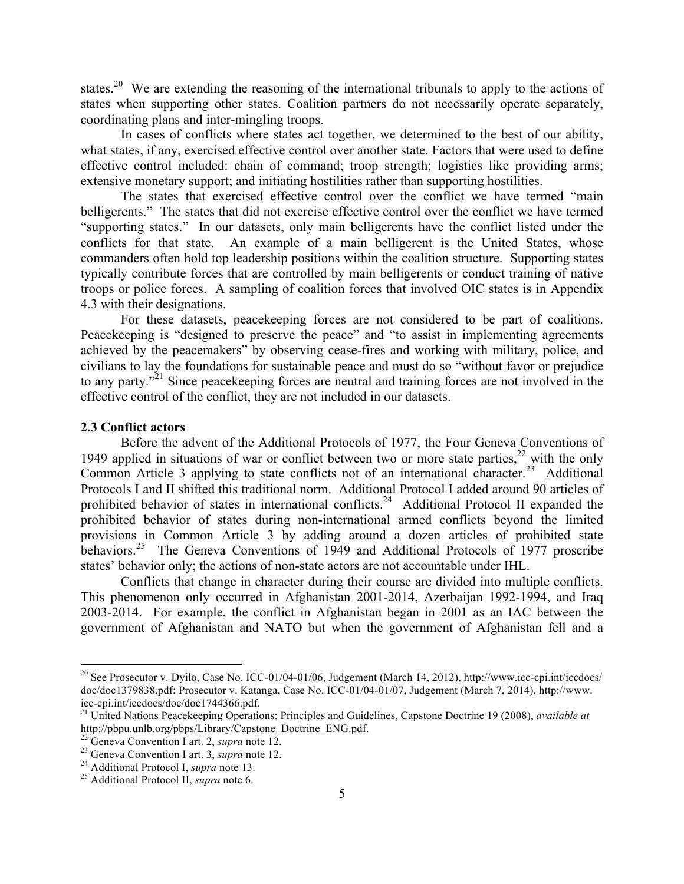states.<sup>20</sup> We are extending the reasoning of the international tribunals to apply to the actions of states when supporting other states. Coalition partners do not necessarily operate separately, coordinating plans and inter-mingling troops.

In cases of conflicts where states act together, we determined to the best of our ability, what states, if any, exercised effective control over another state. Factors that were used to define effective control included: chain of command; troop strength; logistics like providing arms; extensive monetary support; and initiating hostilities rather than supporting hostilities.

The states that exercised effective control over the conflict we have termed "main belligerents." The states that did not exercise effective control over the conflict we have termed "supporting states." In our datasets, only main belligerents have the conflict listed under the conflicts for that state. An example of a main belligerent is the United States, whose commanders often hold top leadership positions within the coalition structure. Supporting states typically contribute forces that are controlled by main belligerents or conduct training of native troops or police forces. A sampling of coalition forces that involved OIC states is in Appendix 4.3 with their designations.

For these datasets, peacekeeping forces are not considered to be part of coalitions. Peacekeeping is "designed to preserve the peace" and "to assist in implementing agreements achieved by the peacemakers" by observing cease-fires and working with military, police, and civilians to lay the foundations for sustainable peace and must do so "without favor or prejudice to any party."<sup>21</sup> Since peacekeeping forces are neutral and training forces are not involved in the effective control of the conflict, they are not included in our datasets.

#### **2.3 Conflict actors**

Before the advent of the Additional Protocols of 1977, the Four Geneva Conventions of 1949 applied in situations of war or conflict between two or more state parties,<sup>22</sup> with the only Common Article 3 applying to state conflicts not of an international character.<sup>23</sup> Additional Protocols I and II shifted this traditional norm. Additional Protocol I added around 90 articles of prohibited behavior of states in international conflicts.<sup>24</sup> Additional Protocol II expanded the prohibited behavior of states during non-international armed conflicts beyond the limited provisions in Common Article 3 by adding around a dozen articles of prohibited state behaviors.<sup>25</sup> The Geneva Conventions of 1949 and Additional Protocols of 1977 proscribe states' behavior only; the actions of non-state actors are not accountable under IHL.

Conflicts that change in character during their course are divided into multiple conflicts. This phenomenon only occurred in Afghanistan 2001-2014, Azerbaijan 1992-1994, and Iraq 2003-2014. For example, the conflict in Afghanistan began in 2001 as an IAC between the government of Afghanistan and NATO but when the government of Afghanistan fell and a

<sup>&</sup>lt;sup>20</sup> See Prosecutor v. Dyilo, Case No. ICC-01/04-01/06, Judgement (March 14, 2012), http://www.icc-cpi.int/iccdocs/ doc/doc1379838.pdf; Prosecutor v. Katanga, Case No. ICC-01/04-01/07, Judgement (March 7, 2014), http://www. icc-cpi.int/iccdocs/doc/doc1744366.pdf. <sup>21</sup> United Nations Peacekeeping Operations: Principles and Guidelines, Capstone Doctrine 19 (2008), *available at*

http://pbpu.unlb.org/pbps/Library/Capstone\_Doctrine\_ENG.pdf.<br><sup>22</sup> Geneva Convention I art. 2, *supra* note 12.

<sup>&</sup>lt;sup>23</sup> Geneva Convention I art. 3, *supra* note 12.<br><sup>24</sup> Additional Protocol I, *supra* note 13.<br><sup>25</sup> Additional Protocol II, *supra* note 6.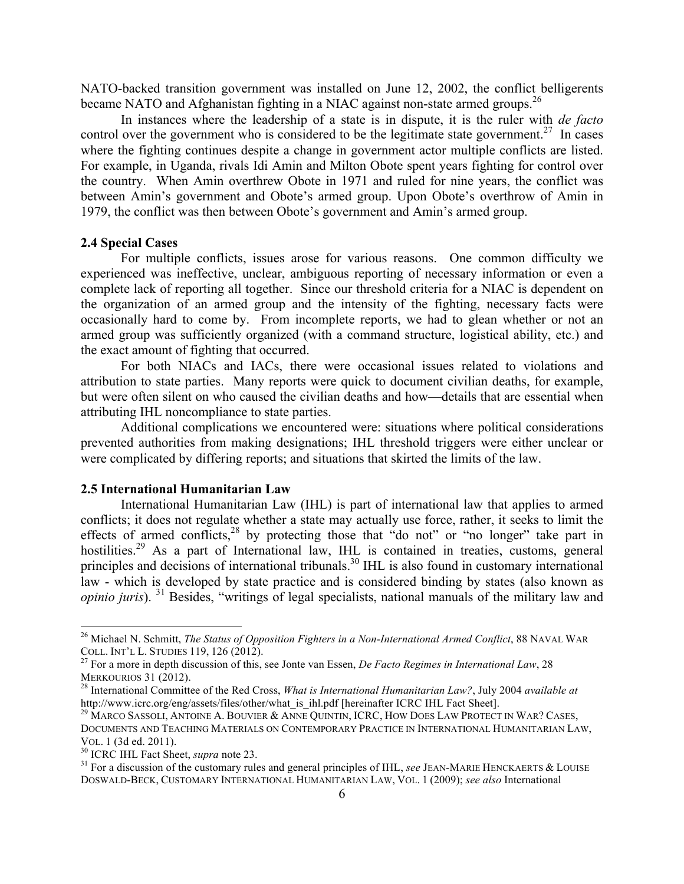NATO-backed transition government was installed on June 12, 2002, the conflict belligerents became NATO and Afghanistan fighting in a NIAC against non-state armed groups.<sup>26</sup>

In instances where the leadership of a state is in dispute, it is the ruler with *de facto* control over the government who is considered to be the legitimate state government.<sup>27</sup> In cases where the fighting continues despite a change in government actor multiple conflicts are listed. For example, in Uganda, rivals Idi Amin and Milton Obote spent years fighting for control over the country. When Amin overthrew Obote in 1971 and ruled for nine years, the conflict was between Amin's government and Obote's armed group. Upon Obote's overthrow of Amin in 1979, the conflict was then between Obote's government and Amin's armed group.

## **2.4 Special Cases**

For multiple conflicts, issues arose for various reasons. One common difficulty we experienced was ineffective, unclear, ambiguous reporting of necessary information or even a complete lack of reporting all together. Since our threshold criteria for a NIAC is dependent on the organization of an armed group and the intensity of the fighting, necessary facts were occasionally hard to come by. From incomplete reports, we had to glean whether or not an armed group was sufficiently organized (with a command structure, logistical ability, etc.) and the exact amount of fighting that occurred.

For both NIACs and IACs, there were occasional issues related to violations and attribution to state parties. Many reports were quick to document civilian deaths, for example, but were often silent on who caused the civilian deaths and how—details that are essential when attributing IHL noncompliance to state parties.

Additional complications we encountered were: situations where political considerations prevented authorities from making designations; IHL threshold triggers were either unclear or were complicated by differing reports; and situations that skirted the limits of the law.

### **2.5 International Humanitarian Law**

International Humanitarian Law (IHL) is part of international law that applies to armed conflicts; it does not regulate whether a state may actually use force, rather, it seeks to limit the effects of armed conflicts, $28$  by protecting those that "do not" or "no longer" take part in hostilities.<sup>29</sup> As a part of International law, IHL is contained in treaties, customs, general principles and decisions of international tribunals.<sup>30</sup> IHL is also found in customary international law - which is developed by state practice and is considered binding by states (also known as *opinio juris*). <sup>31</sup> Besides, "writings of legal specialists, national manuals of the military law and

<sup>&</sup>lt;sup>26</sup> Michael N. Schmitt, *The Status of Opposition Fighters in a Non-International Armed Conflict*, 88 NAVAL WAR COLL. INT'L L. STUDIES 119, <sup>126</sup> (2012). <sup>27</sup> For a more in depth discussion of this, see Jonte van Essen, *De Facto Regimes in International Law*, 28

MERKOURIOS 31 (2012). 28 International Committee of the Red Cross, *What is International Humanitarian Law?*, July 2004 *available at*

http://www.icrc.org/eng/assets/files/other/what\_is\_ihl.pdf [hereinafter ICRC IHL Fact Sheet].

<sup>&</sup>lt;sup>29</sup> MARCO SASSOLI, ANTOINE A. BOUVIER & ANNE QUINTIN, ICRC, HOW DOES LAW PROTECT IN WAR? CASES, DOCUMENTS AND TEACHING MATERIALS ON CONTEMPORARY PRACTICE IN INTERNATIONAL HUMANITARIAN LAW, VOL. 1 (3d ed. 2011).<br><sup>30</sup> ICRC IHL Fact Sheet, *supra* note 23.<br><sup>31</sup> For a discussion of the customary rules and general principles of IHL, *see* JEAN-MARIE HENCKAERTS & LOUISE

DOSWALD-BECK, CUSTOMARY INTERNATIONAL HUMANITARIAN LAW, VOL. 1 (2009); *see also* International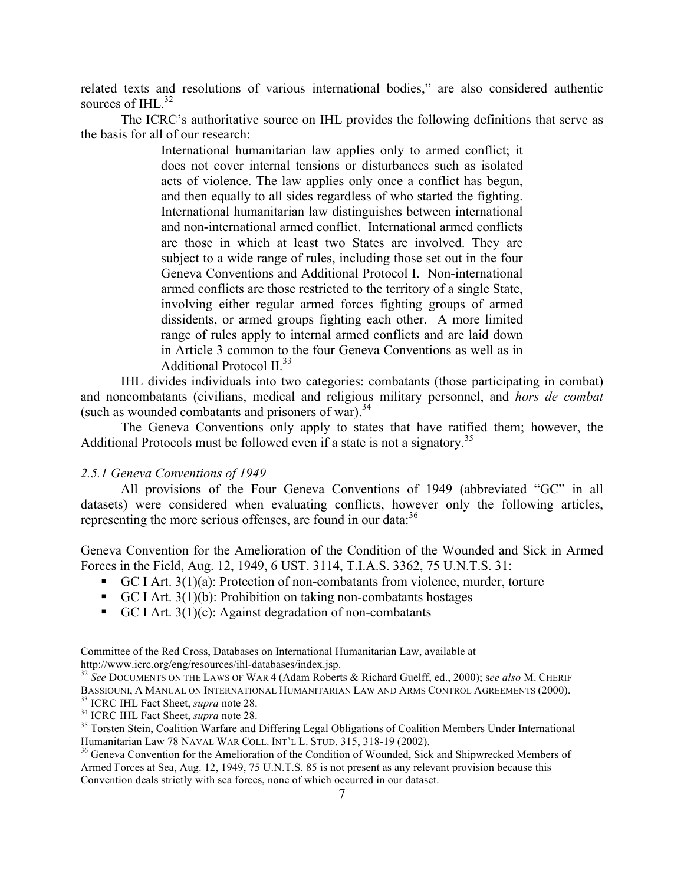related texts and resolutions of various international bodies," are also considered authentic sources of IHL $^{32}$ 

The ICRC's authoritative source on IHL provides the following definitions that serve as the basis for all of our research:

> International humanitarian law applies only to armed conflict; it does not cover internal tensions or disturbances such as isolated acts of violence. The law applies only once a conflict has begun, and then equally to all sides regardless of who started the fighting. International humanitarian law distinguishes between international and non-international armed conflict. International armed conflicts are those in which at least two States are involved. They are subject to a wide range of rules, including those set out in the four Geneva Conventions and Additional Protocol I. Non-international armed conflicts are those restricted to the territory of a single State, involving either regular armed forces fighting groups of armed dissidents, or armed groups fighting each other. A more limited range of rules apply to internal armed conflicts and are laid down in Article 3 common to the four Geneva Conventions as well as in Additional Protocol  $II^{33}$

IHL divides individuals into two categories: combatants (those participating in combat) and noncombatants (civilians, medical and religious military personnel, and *hors de combat* (such as wounded combatants and prisoners of war).  $34$ 

The Geneva Conventions only apply to states that have ratified them; however, the Additional Protocols must be followed even if a state is not a signatory.<sup>35</sup>

## *2.5.1 Geneva Conventions of 1949*

All provisions of the Four Geneva Conventions of 1949 (abbreviated "GC" in all datasets) were considered when evaluating conflicts, however only the following articles, representing the more serious offenses, are found in our data:<sup>36</sup>

Geneva Convention for the Amelioration of the Condition of the Wounded and Sick in Armed Forces in the Field, Aug. 12, 1949, 6 UST. 3114, T.I.A.S. 3362, 75 U.N.T.S. 31:

- ! GC I Art. 3(1)(a): Protection of non-combatants from violence, murder, torture
- $\blacksquare$  GC I Art. 3(1)(b): Prohibition on taking non-combatants hostages
- GC I Art.  $3(1)(c)$ : Against degradation of non-combatants

Committee of the Red Cross, Databases on International Humanitarian Law, available at http://www.icrc.org/eng/resources/ihl-databases/index.jsp. 32 *See* DOCUMENTS ON THE LAWS OF WAR 4 (Adam Roberts & Richard Guelff, ed., 2000); s*ee also* M. CHERIF

BASSIOUNI, A MANUAL ON INTERNATIONAL HUMANITARIAN LAW AND ARMS CONTROL AGREEMENTS (2000).<br><sup>33</sup> ICRC IHL Fact Sheet, *supra* note 28.<br><sup>34</sup> ICRC IHL Fact Sheet, *supra* note 28.<br><sup>35</sup> Torsten Stein, Coalition Warfare and Diff

<sup>&</sup>lt;sup>36</sup> Geneva Convention for the Amelioration of the Condition of Wounded, Sick and Shipwrecked Members of Armed Forces at Sea, Aug. 12, 1949, 75 U.N.T.S. 85 is not present as any relevant provision because this Convention deals strictly with sea forces, none of which occurred in our dataset.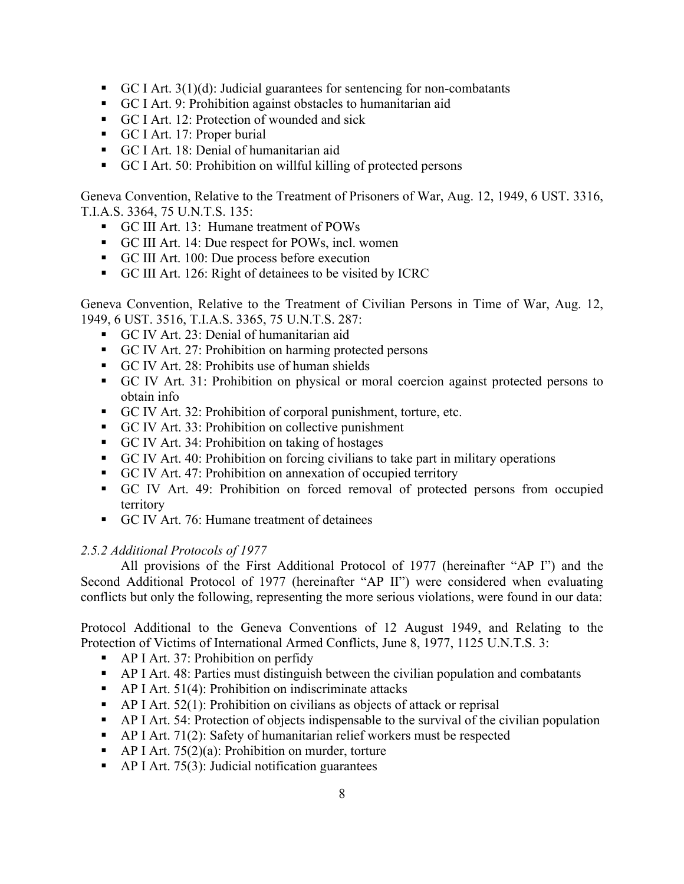- GC I Art.  $3(1)(d)$ : Judicial guarantees for sentencing for non-combatants
- ! GC I Art. 9: Prohibition against obstacles to humanitarian aid
- ! GC I Art. 12: Protection of wounded and sick
- ! GC I Art. 17: Proper burial
- ! GC I Art. 18: Denial of humanitarian aid
- ! GC I Art. 50: Prohibition on willful killing of protected persons

Geneva Convention, Relative to the Treatment of Prisoners of War, Aug. 12, 1949, 6 UST. 3316, T.I.A.S. 3364, 75 U.N.T.S. 135:

- ! GC III Art. 13: Humane treatment of POWs
- ! GC III Art. 14: Due respect for POWs, incl. women
- ! GC III Art. 100: Due process before execution
- ! GC III Art. 126: Right of detainees to be visited by ICRC

Geneva Convention, Relative to the Treatment of Civilian Persons in Time of War, Aug. 12, 1949, 6 UST. 3516, T.I.A.S. 3365, 75 U.N.T.S. 287:

- ! GC IV Art. 23: Denial of humanitarian aid
- ! GC IV Art. 27: Prohibition on harming protected persons
- ! GC IV Art. 28: Prohibits use of human shields
- ! GC IV Art. 31: Prohibition on physical or moral coercion against protected persons to obtain info
- ! GC IV Art. 32: Prohibition of corporal punishment, torture, etc.
- ! GC IV Art. 33: Prohibition on collective punishment
- ! GC IV Art. 34: Prohibition on taking of hostages
- ! GC IV Art. 40: Prohibition on forcing civilians to take part in military operations
- ! GC IV Art. 47: Prohibition on annexation of occupied territory
- ! GC IV Art. 49: Prohibition on forced removal of protected persons from occupied territory
- ! GC IV Art. 76: Humane treatment of detainees

# *2.5.2 Additional Protocols of 1977*

All provisions of the First Additional Protocol of 1977 (hereinafter "AP I") and the Second Additional Protocol of 1977 (hereinafter "AP II") were considered when evaluating conflicts but only the following, representing the more serious violations, were found in our data:

Protocol Additional to the Geneva Conventions of 12 August 1949, and Relating to the Protection of Victims of International Armed Conflicts, June 8, 1977, 1125 U.N.T.S. 3:

- AP I Art. 37: Prohibition on perfidy
- ! AP I Art. 48: Parties must distinguish between the civilian population and combatants
- $\blacksquare$  AP I Art. 51(4): Prohibition on indiscriminate attacks
- $\blacksquare$  AP I Art. 52(1): Prohibition on civilians as objects of attack or reprisal
- ! AP I Art. 54: Protection of objects indispensable to the survival of the civilian population
- ! AP I Art. 71(2): Safety of humanitarian relief workers must be respected
- $\blacksquare$  AP I Art. 75(2)(a): Prohibition on murder, torture
- $\blacksquare$  AP I Art. 75(3): Judicial notification guarantees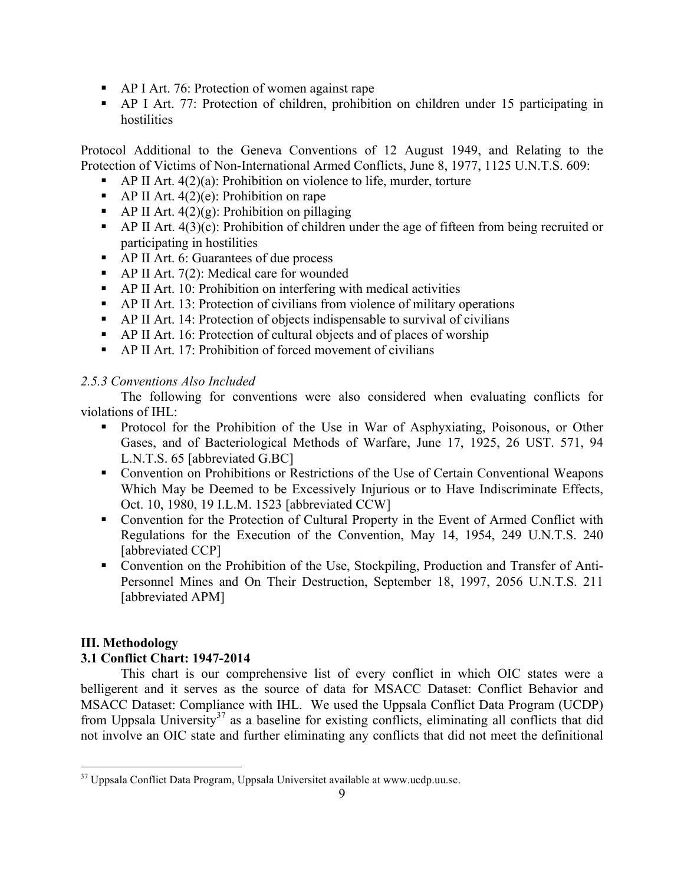- ! AP I Art. 76: Protection of women against rape
- ! AP I Art. 77: Protection of children, prohibition on children under 15 participating in hostilities

Protocol Additional to the Geneva Conventions of 12 August 1949, and Relating to the Protection of Victims of Non-International Armed Conflicts, June 8, 1977, 1125 U.N.T.S. 609:

- $\blacksquare$  AP II Art. 4(2)(a): Prohibition on violence to life, murder, torture
- $\blacksquare$  AP II Art. 4(2)(e): Prohibition on rape
- AP II Art.  $4(2)(g)$ : Prohibition on pillaging
- $\blacksquare$  AP II Art. 4(3)(c): Prohibition of children under the age of fifteen from being recruited or participating in hostilities
- ! AP II Art. 6: Guarantees of due process
- AP II Art. 7(2): Medical care for wounded
- ! AP II Art. 10: Prohibition on interfering with medical activities
- ! AP II Art. 13: Protection of civilians from violence of military operations
- ! AP II Art. 14: Protection of objects indispensable to survival of civilians
- ! AP II Art. 16: Protection of cultural objects and of places of worship
- ! AP II Art. 17: Prohibition of forced movement of civilians

# *2.5.3 Conventions Also Included*

The following for conventions were also considered when evaluating conflicts for violations of IHL:

- ! Protocol for the Prohibition of the Use in War of Asphyxiating, Poisonous, or Other Gases, and of Bacteriological Methods of Warfare, June 17, 1925, 26 UST. 571, 94 L.N.T.S. 65 [abbreviated G.BC]
- ! Convention on Prohibitions or Restrictions of the Use of Certain Conventional Weapons Which May be Deemed to be Excessively Injurious or to Have Indiscriminate Effects, Oct. 10, 1980, 19 I.L.M. 1523 [abbreviated CCW]
- ! Convention for the Protection of Cultural Property in the Event of Armed Conflict with Regulations for the Execution of the Convention, May 14, 1954, 249 U.N.T.S. 240 [abbreviated CCP]
- ! Convention on the Prohibition of the Use, Stockpiling, Production and Transfer of Anti-Personnel Mines and On Their Destruction, September 18, 1997, 2056 U.N.T.S. 211 [abbreviated APM]

# **III. Methodology**

# **3.1 Conflict Chart: 1947-2014**

This chart is our comprehensive list of every conflict in which OIC states were a belligerent and it serves as the source of data for MSACC Dataset: Conflict Behavior and MSACC Dataset: Compliance with IHL. We used the Uppsala Conflict Data Program (UCDP) from Uppsala University<sup>37</sup> as a baseline for existing conflicts, eliminating all conflicts that did not involve an OIC state and further eliminating any conflicts that did not meet the definitional

<sup>&</sup>lt;sup>37</sup> Uppsala Conflict Data Program, Uppsala Universitet available at www.ucdp.uu.se.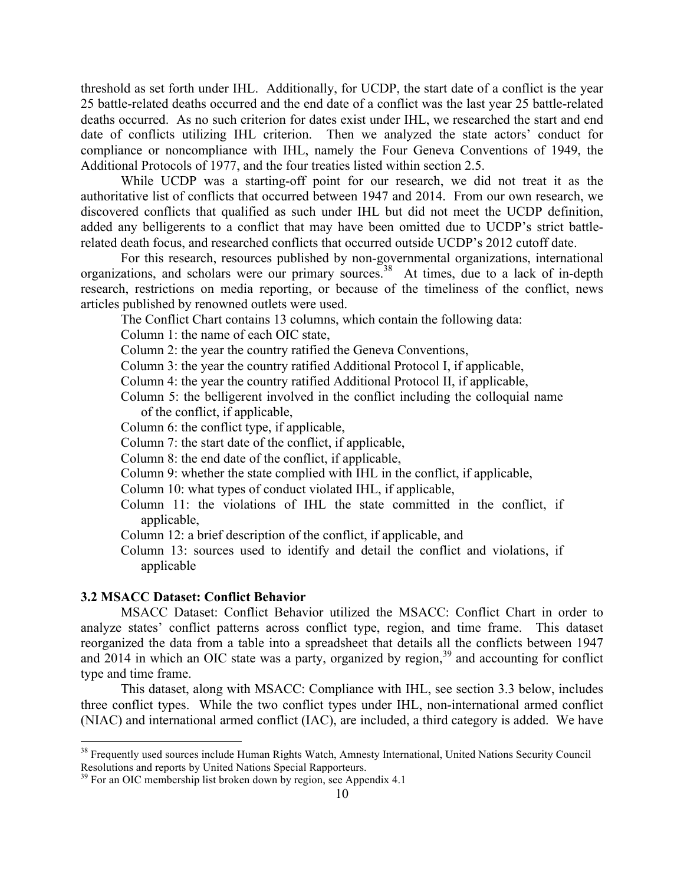threshold as set forth under IHL. Additionally, for UCDP, the start date of a conflict is the year 25 battle-related deaths occurred and the end date of a conflict was the last year 25 battle-related deaths occurred. As no such criterion for dates exist under IHL, we researched the start and end date of conflicts utilizing IHL criterion. Then we analyzed the state actors' conduct for compliance or noncompliance with IHL, namely the Four Geneva Conventions of 1949, the Additional Protocols of 1977, and the four treaties listed within section 2.5.

While UCDP was a starting-off point for our research, we did not treat it as the authoritative list of conflicts that occurred between 1947 and 2014. From our own research, we discovered conflicts that qualified as such under IHL but did not meet the UCDP definition, added any belligerents to a conflict that may have been omitted due to UCDP's strict battlerelated death focus, and researched conflicts that occurred outside UCDP's 2012 cutoff date.

For this research, resources published by non-governmental organizations, international organizations, and scholars were our primary sources.<sup>38</sup> At times, due to a lack of in-depth research, restrictions on media reporting, or because of the timeliness of the conflict, news articles published by renowned outlets were used.

The Conflict Chart contains 13 columns, which contain the following data:

Column 1: the name of each OIC state,

Column 2: the year the country ratified the Geneva Conventions,

- Column 3: the year the country ratified Additional Protocol I, if applicable,
- Column 4: the year the country ratified Additional Protocol II, if applicable,
- Column 5: the belligerent involved in the conflict including the colloquial name of the conflict, if applicable,
- Column 6: the conflict type, if applicable,
- Column 7: the start date of the conflict, if applicable,
- Column 8: the end date of the conflict, if applicable,
- Column 9: whether the state complied with IHL in the conflict, if applicable,
- Column 10: what types of conduct violated IHL, if applicable,
- Column 11: the violations of IHL the state committed in the conflict, if applicable,
- Column 12: a brief description of the conflict, if applicable, and
- Column 13: sources used to identify and detail the conflict and violations, if applicable

### **3.2 MSACC Dataset: Conflict Behavior**

MSACC Dataset: Conflict Behavior utilized the MSACC: Conflict Chart in order to analyze states' conflict patterns across conflict type, region, and time frame. This dataset reorganized the data from a table into a spreadsheet that details all the conflicts between 1947 and  $2014$  in which an OIC state was a party, organized by region,<sup>39</sup> and accounting for conflict type and time frame.

This dataset, along with MSACC: Compliance with IHL, see section 3.3 below, includes three conflict types. While the two conflict types under IHL, non-international armed conflict (NIAC) and international armed conflict (IAC), are included, a third category is added. We have

<sup>&</sup>lt;sup>38</sup> Frequently used sources include Human Rights Watch, Amnesty International, United Nations Security Council Resolutions and reports by United Nations Special Rapporteurs.

 $39$  For an OIC membership list broken down by region, see Appendix 4.1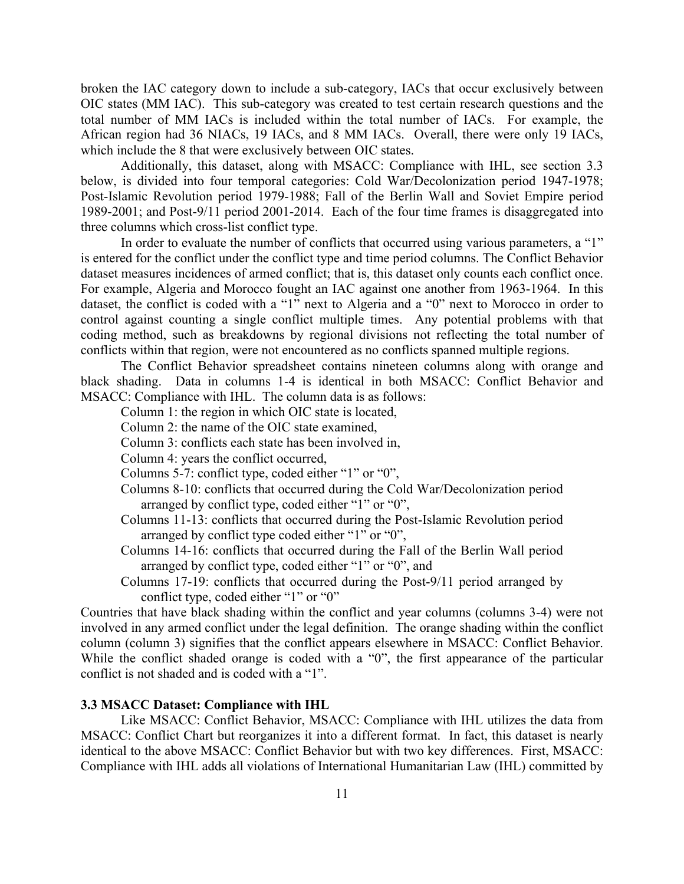broken the IAC category down to include a sub-category, IACs that occur exclusively between OIC states (MM IAC). This sub-category was created to test certain research questions and the total number of MM IACs is included within the total number of IACs. For example, the African region had 36 NIACs, 19 IACs, and 8 MM IACs. Overall, there were only 19 IACs, which include the 8 that were exclusively between OIC states.

Additionally, this dataset, along with MSACC: Compliance with IHL, see section 3.3 below, is divided into four temporal categories: Cold War/Decolonization period 1947-1978; Post-Islamic Revolution period 1979-1988; Fall of the Berlin Wall and Soviet Empire period 1989-2001; and Post-9/11 period 2001-2014. Each of the four time frames is disaggregated into three columns which cross-list conflict type.

In order to evaluate the number of conflicts that occurred using various parameters, a "1" is entered for the conflict under the conflict type and time period columns. The Conflict Behavior dataset measures incidences of armed conflict; that is, this dataset only counts each conflict once. For example, Algeria and Morocco fought an IAC against one another from 1963-1964. In this dataset, the conflict is coded with a "1" next to Algeria and a "0" next to Morocco in order to control against counting a single conflict multiple times. Any potential problems with that coding method, such as breakdowns by regional divisions not reflecting the total number of conflicts within that region, were not encountered as no conflicts spanned multiple regions.

The Conflict Behavior spreadsheet contains nineteen columns along with orange and black shading. Data in columns 1-4 is identical in both MSACC: Conflict Behavior and MSACC: Compliance with IHL. The column data is as follows:

- Column 1: the region in which OIC state is located,
- Column 2: the name of the OIC state examined,
- Column 3: conflicts each state has been involved in,
- Column 4: years the conflict occurred,
- Columns 5-7: conflict type, coded either "1" or "0",
- Columns 8-10: conflicts that occurred during the Cold War/Decolonization period arranged by conflict type, coded either "1" or "0",
- Columns 11-13: conflicts that occurred during the Post-Islamic Revolution period arranged by conflict type coded either "1" or "0",
- Columns 14-16: conflicts that occurred during the Fall of the Berlin Wall period arranged by conflict type, coded either "1" or "0", and
- Columns 17-19: conflicts that occurred during the Post-9/11 period arranged by conflict type, coded either "1" or "0"

Countries that have black shading within the conflict and year columns (columns 3-4) were not involved in any armed conflict under the legal definition. The orange shading within the conflict column (column 3) signifies that the conflict appears elsewhere in MSACC: Conflict Behavior. While the conflict shaded orange is coded with a "0", the first appearance of the particular conflict is not shaded and is coded with a "1".

### **3.3 MSACC Dataset: Compliance with IHL**

Like MSACC: Conflict Behavior, MSACC: Compliance with IHL utilizes the data from MSACC: Conflict Chart but reorganizes it into a different format. In fact, this dataset is nearly identical to the above MSACC: Conflict Behavior but with two key differences. First, MSACC: Compliance with IHL adds all violations of International Humanitarian Law (IHL) committed by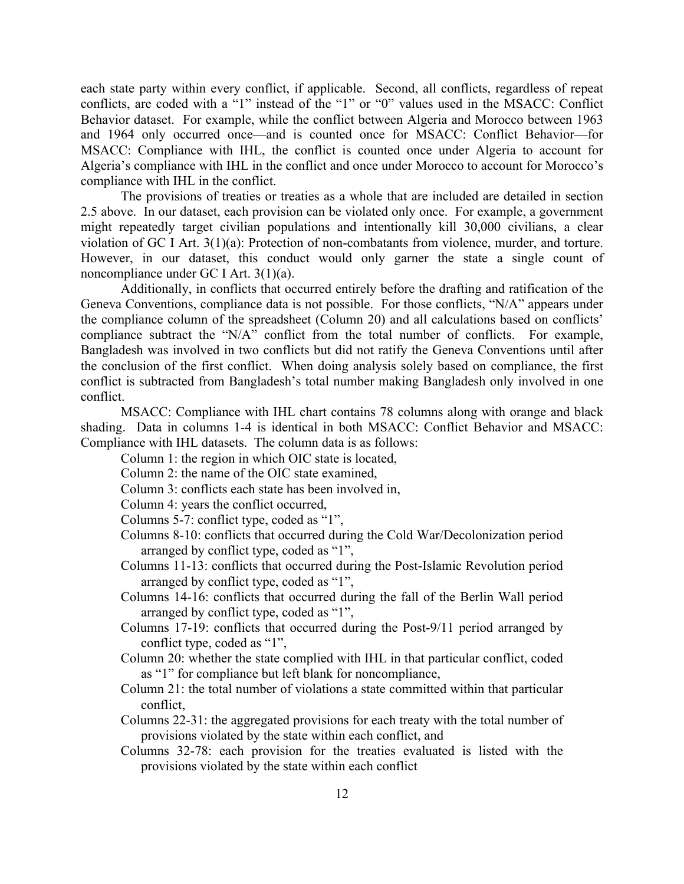each state party within every conflict, if applicable. Second, all conflicts, regardless of repeat conflicts, are coded with a "1" instead of the "1" or "0" values used in the MSACC: Conflict Behavior dataset. For example, while the conflict between Algeria and Morocco between 1963 and 1964 only occurred once—and is counted once for MSACC: Conflict Behavior—for MSACC: Compliance with IHL, the conflict is counted once under Algeria to account for Algeria's compliance with IHL in the conflict and once under Morocco to account for Morocco's compliance with IHL in the conflict.

The provisions of treaties or treaties as a whole that are included are detailed in section 2.5 above. In our dataset, each provision can be violated only once. For example, a government might repeatedly target civilian populations and intentionally kill 30,000 civilians, a clear violation of GC I Art. 3(1)(a): Protection of non-combatants from violence, murder, and torture. However, in our dataset, this conduct would only garner the state a single count of noncompliance under GC I Art. 3(1)(a).

Additionally, in conflicts that occurred entirely before the drafting and ratification of the Geneva Conventions, compliance data is not possible. For those conflicts, "N/A" appears under the compliance column of the spreadsheet (Column 20) and all calculations based on conflicts' compliance subtract the "N/A" conflict from the total number of conflicts. For example, Bangladesh was involved in two conflicts but did not ratify the Geneva Conventions until after the conclusion of the first conflict. When doing analysis solely based on compliance, the first conflict is subtracted from Bangladesh's total number making Bangladesh only involved in one conflict.

MSACC: Compliance with IHL chart contains 78 columns along with orange and black shading. Data in columns 1-4 is identical in both MSACC: Conflict Behavior and MSACC: Compliance with IHL datasets. The column data is as follows:

Column 1: the region in which OIC state is located,

Column 2: the name of the OIC state examined,

Column 3: conflicts each state has been involved in,

Column 4: years the conflict occurred,

Columns 5-7: conflict type, coded as "1",

- Columns 8-10: conflicts that occurred during the Cold War/Decolonization period arranged by conflict type, coded as "1",
- Columns 11-13: conflicts that occurred during the Post-Islamic Revolution period arranged by conflict type, coded as "1",
- Columns 14-16: conflicts that occurred during the fall of the Berlin Wall period arranged by conflict type, coded as "1",
- Columns 17-19: conflicts that occurred during the Post-9/11 period arranged by conflict type, coded as "1",
- Column 20: whether the state complied with IHL in that particular conflict, coded as "1" for compliance but left blank for noncompliance,
- Column 21: the total number of violations a state committed within that particular conflict,
- Columns 22-31: the aggregated provisions for each treaty with the total number of provisions violated by the state within each conflict, and
- Columns 32-78: each provision for the treaties evaluated is listed with the provisions violated by the state within each conflict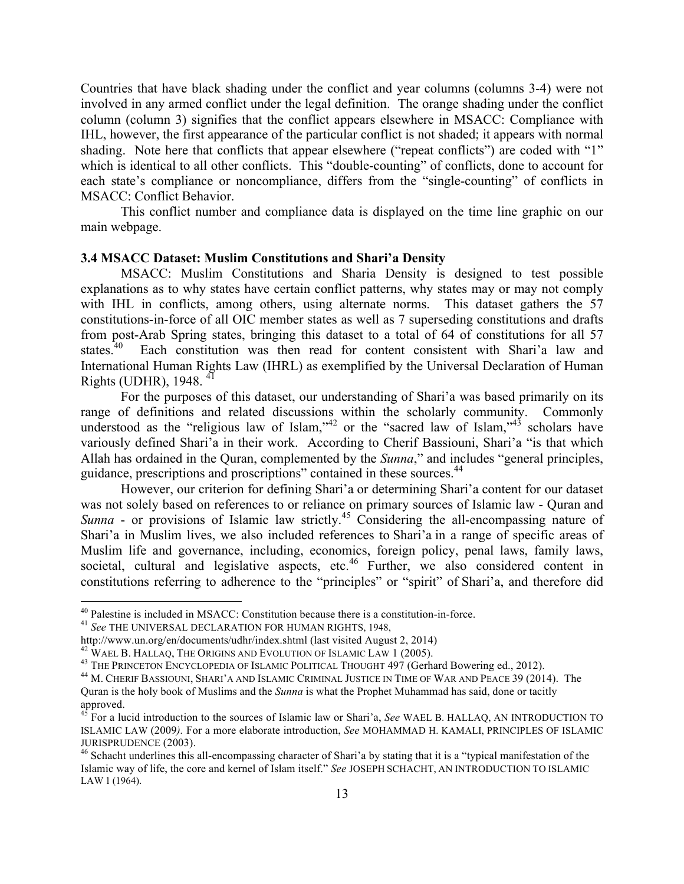Countries that have black shading under the conflict and year columns (columns 3-4) were not involved in any armed conflict under the legal definition. The orange shading under the conflict column (column 3) signifies that the conflict appears elsewhere in MSACC: Compliance with IHL, however, the first appearance of the particular conflict is not shaded; it appears with normal shading. Note here that conflicts that appear elsewhere ("repeat conflicts") are coded with "1" which is identical to all other conflicts. This "double-counting" of conflicts, done to account for each state's compliance or noncompliance, differs from the "single-counting" of conflicts in MSACC: Conflict Behavior.

This conflict number and compliance data is displayed on the time line graphic on our main webpage.

# **3.4 MSACC Dataset: Muslim Constitutions and Shari'a Density**

MSACC: Muslim Constitutions and Sharia Density is designed to test possible explanations as to why states have certain conflict patterns, why states may or may not comply with IHL in conflicts, among others, using alternate norms. This dataset gathers the 57 constitutions-in-force of all OIC member states as well as 7 superseding constitutions and drafts from post-Arab Spring states, bringing this dataset to a total of 64 of constitutions for all 57 states.<sup>40</sup> Each constitution was then read for content consistent with Shari'a law and International Human Rights Law (IHRL) as exemplified by the Universal Declaration of Human Rights (UDHR), 1948. 41

For the purposes of this dataset, our understanding of Shari'a was based primarily on its range of definitions and related discussions within the scholarly community. Commonly understood as the "religious law of Islam,"<sup>42</sup> or the "sacred law of Islam,"<sup>43</sup> scholars have variously defined Shari'a in their work. According to Cherif Bassiouni, Shari'a "is that which Allah has ordained in the Quran, complemented by the *Sunna*," and includes "general principles, guidance, prescriptions and proscriptions" contained in these sources.<sup>44</sup>

However, our criterion for defining Shari'a or determining Shari'a content for our dataset was not solely based on references to or reliance on primary sources of Islamic law - Quran and *Sunna* - or provisions of Islamic law strictly.<sup>45</sup> Considering the all-encompassing nature of Shari'a in Muslim lives, we also included references to Shari'a in a range of specific areas of Muslim life and governance, including, economics, foreign policy, penal laws, family laws, societal, cultural and legislative aspects, etc.<sup>46</sup> Further, we also considered content in constitutions referring to adherence to the "principles" or "spirit" of Shari'a, and therefore did

<sup>&</sup>lt;sup>40</sup> Palestine is included in MSACC: Constitution because there is a constitution-in-force.<br><sup>41</sup> *See* THE UNIVERSAL DECLARATION FOR HUMAN RIGHTS, 1948,<br>http://www.un.org/en/documents/udhr/index.shtml (last visited August

<sup>&</sup>lt;sup>42</sup> WAEL B. HALLAQ, THE ORIGINS AND EVOLUTION OF ISLAMIC LAW 1 (2005).<br><sup>43</sup> THE PRINCETON ENCYCLOPEDIA OF ISLAMIC POLITICAL THOUGHT 497 (Gerhard Bowering ed., 2012).<br><sup>44</sup> M. CHERIF BASSIOUNI, SHARI'A AND ISLAMIC CRIMINAL

Quran is the holy book of Muslims and the *Sunna* is what the Prophet Muhammad has said, done or tacitly approved.

<sup>45</sup> For a lucid introduction to the sources of Islamic law or Shari'a, *See* WAEL B. HALLAQ, AN INTRODUCTION TO ISLAMIC LAW (2009*).* For a more elaborate introduction, *See* MOHAMMAD H. KAMALI, PRINCIPLES OF ISLAMIC JURISPRUDENCE (2003). <sup>46</sup> Schacht underlines this all-encompassing character of Shari'a by stating that it is a "typical manifestation of the

Islamic way of life, the core and kernel of Islam itself." *See* JOSEPH SCHACHT, AN INTRODUCTION TO ISLAMIC LAW 1 (1964).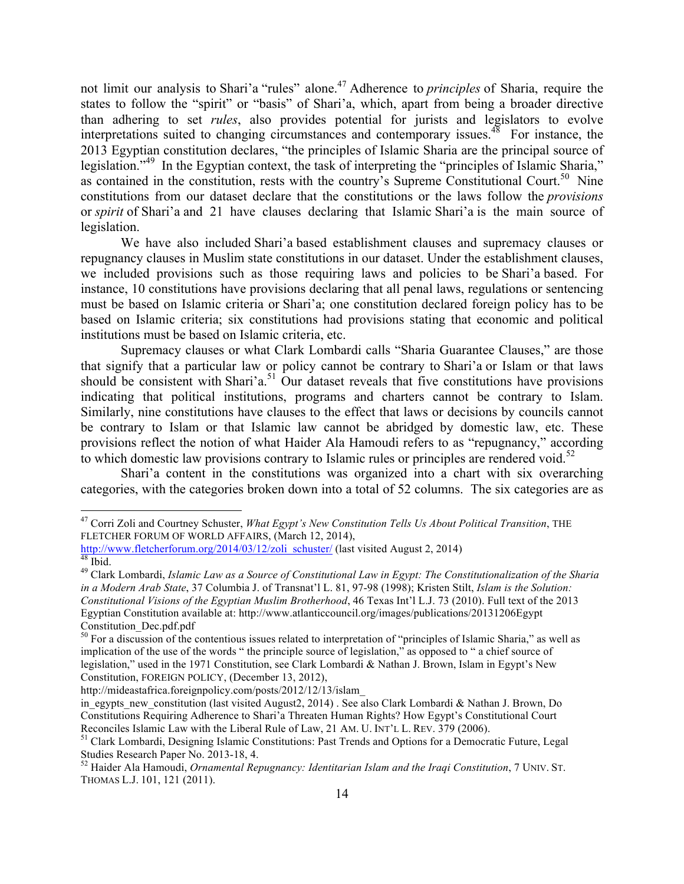not limit our analysis to Shari'a "rules" alone.47 Adherence to *principles* of Sharia, require the states to follow the "spirit" or "basis" of Shari'a, which, apart from being a broader directive than adhering to set *rules*, also provides potential for jurists and legislators to evolve interpretations suited to changing circumstances and contemporary issues. $48$  For instance, the 2013 Egyptian constitution declares, "the principles of Islamic Sharia are the principal source of legislation."<sup>49</sup> In the Egyptian context, the task of interpreting the "principles of Islamic Sharia," as contained in the constitution, rests with the country's Supreme Constitutional Court.<sup>50</sup> Nine constitutions from our dataset declare that the constitutions or the laws follow the *provisions* or *spirit* of Shari'a and 21 have clauses declaring that Islamic Shari'a is the main source of legislation.

We have also included Shari'a based establishment clauses and supremacy clauses or repugnancy clauses in Muslim state constitutions in our dataset. Under the establishment clauses, we included provisions such as those requiring laws and policies to be Shari'a based. For instance, 10 constitutions have provisions declaring that all penal laws, regulations or sentencing must be based on Islamic criteria or Shari'a; one constitution declared foreign policy has to be based on Islamic criteria; six constitutions had provisions stating that economic and political institutions must be based on Islamic criteria, etc.

Supremacy clauses or what Clark Lombardi calls "Sharia Guarantee Clauses," are those that signify that a particular law or policy cannot be contrary to Shari'a or Islam or that laws should be consistent with Shari'a.<sup>51</sup> Our dataset reveals that five constitutions have provisions indicating that political institutions, programs and charters cannot be contrary to Islam. Similarly, nine constitutions have clauses to the effect that laws or decisions by councils cannot be contrary to Islam or that Islamic law cannot be abridged by domestic law, etc. These provisions reflect the notion of what Haider Ala Hamoudi refers to as "repugnancy," according to which domestic law provisions contrary to Islamic rules or principles are rendered void.<sup>52</sup>

Shari'a content in the constitutions was organized into a chart with six overarching categories, with the categories broken down into a total of 52 columns. The six categories are as

http://mideastafrica.foreignpolicy.com/posts/2012/12/13/islam\_

 <sup>47</sup> Corri Zoli and Courtney Schuster, *What Egypt's New Constitution Tells Us About Political Transition*, THE FLETCHER FORUM OF WORLD AFFAIRS, (March 12, 2014),

http://www.fletcherforum.org/2014/03/12/zoli\_schuster/ (last visited August 2, 2014)<br><sup>48</sup> Ibid. 49 Clark Lombardi, *Islamic Law as a Source of Constitutional Law in Egypt: The Constitutionalization of the Sharia* 

*in a Modern Arab State*, 37 Columbia J. of Transnat'l L. 81, 97-98 (1998); Kristen Stilt, *Islam is the Solution: Constitutional Visions of the Egyptian Muslim Brotherhood*, 46 Texas Int'l L.J. 73 (2010). Full text of the 2013 Egyptian Constitution available at: http://www.atlanticcouncil.org/images/publications/20131206Egypt Constitution\_Dec.pdf.pdf

 $50$  For a discussion of the contentious issues related to interpretation of "principles of Islamic Sharia," as well as implication of the use of the words " the principle source of legislation," as opposed to " a chief source of legislation," used in the 1971 Constitution, see Clark Lombardi & Nathan J. Brown, Islam in Egypt's New Constitution, FOREIGN POLICY, (December 13, 2012),

in\_egypts\_new\_constitution (last visited August2, 2014) . See also Clark Lombardi & Nathan J. Brown, Do Constitutions Requiring Adherence to Shari'a Threaten Human Rights? How Egypt's Constitutional Court Reconciles Islamic Law with the Liberal Rule of Law, 21 AM. U. INT'L L. REV. 379 (2006).<br><sup>51</sup> Clark Lombardi, Designing Islamic Constitutions: Past Trends and Options for a Democratic Future, Legal

Studies Research Paper No. 2013-18, 4.<br><sup>52</sup> Haider Ala Hamoudi, *Ornamental Repugnancy: Identitarian Islam and the Iraqi Constitution*, 7 UNIV. ST.

THOMAS L.J. 101, 121 (2011).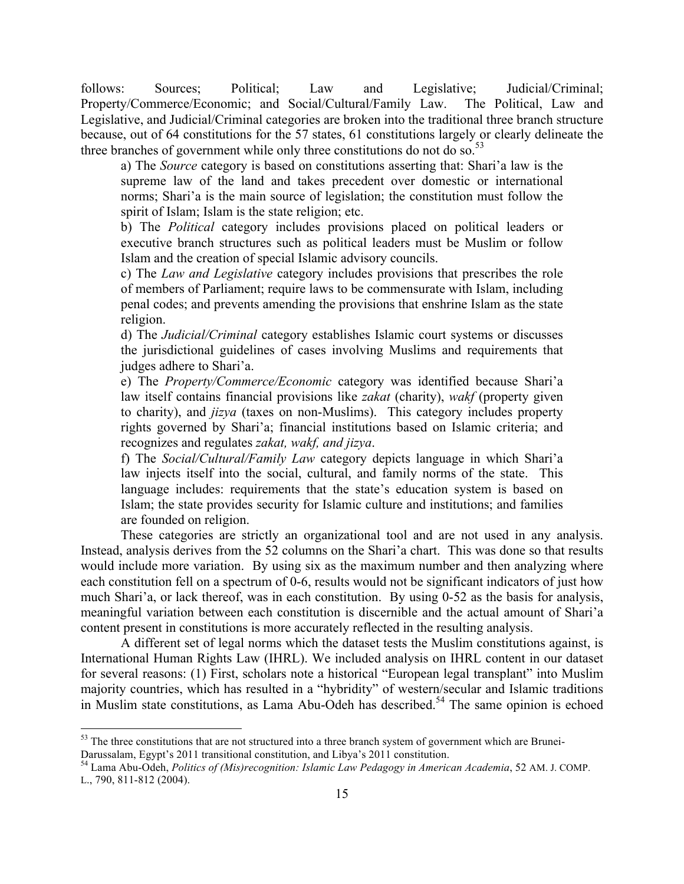follows: Sources; Political; Law and Legislative; Judicial/Criminal; Property/Commerce/Economic; and Social/Cultural/Family Law. The Political, Law and Legislative, and Judicial/Criminal categories are broken into the traditional three branch structure because, out of 64 constitutions for the 57 states, 61 constitutions largely or clearly delineate the three branches of government while only three constitutions do not do so.<sup>53</sup>

a) The *Source* category is based on constitutions asserting that: Shari'a law is the supreme law of the land and takes precedent over domestic or international norms; Shari'a is the main source of legislation; the constitution must follow the spirit of Islam; Islam is the state religion; etc.

b) The *Political* category includes provisions placed on political leaders or executive branch structures such as political leaders must be Muslim or follow Islam and the creation of special Islamic advisory councils.

c) The *Law and Legislative* category includes provisions that prescribes the role of members of Parliament; require laws to be commensurate with Islam, including penal codes; and prevents amending the provisions that enshrine Islam as the state religion.

d) The *Judicial/Criminal* category establishes Islamic court systems or discusses the jurisdictional guidelines of cases involving Muslims and requirements that judges adhere to Shari'a.

e) The *Property/Commerce/Economic* category was identified because Shari'a law itself contains financial provisions like *zakat* (charity), *wakf* (property given to charity), and *jizya* (taxes on non-Muslims). This category includes property rights governed by Shari'a; financial institutions based on Islamic criteria; and recognizes and regulates *zakat, wakf, and jizya*.

f) The *Social/Cultural/Family Law* category depicts language in which Shari'a law injects itself into the social, cultural, and family norms of the state. This language includes: requirements that the state's education system is based on Islam; the state provides security for Islamic culture and institutions; and families are founded on religion.

These categories are strictly an organizational tool and are not used in any analysis. Instead, analysis derives from the 52 columns on the Shari'a chart. This was done so that results would include more variation. By using six as the maximum number and then analyzing where each constitution fell on a spectrum of 0-6, results would not be significant indicators of just how much Shari'a, or lack thereof, was in each constitution. By using 0-52 as the basis for analysis, meaningful variation between each constitution is discernible and the actual amount of Shari'a content present in constitutions is more accurately reflected in the resulting analysis.

A different set of legal norms which the dataset tests the Muslim constitutions against, is International Human Rights Law (IHRL). We included analysis on IHRL content in our dataset for several reasons: (1) First, scholars note a historical "European legal transplant" into Muslim majority countries, which has resulted in a "hybridity" of western/secular and Islamic traditions in Muslim state constitutions, as Lama Abu-Odeh has described. <sup>54</sup> The same opinion is echoed

<sup>&</sup>lt;sup>53</sup> The three constitutions that are not structured into a three branch system of government which are Brunei-

Darussalam, Egypt's 2011 transitional constitution, and Libya's 2011 constitution. <sup>54</sup> Lama Abu-Odeh, *Politics of (Mis)recognition: Islamic Law Pedagogy in American Academia*, 52 AM. J. COMP. L., 790, 811-812 (2004).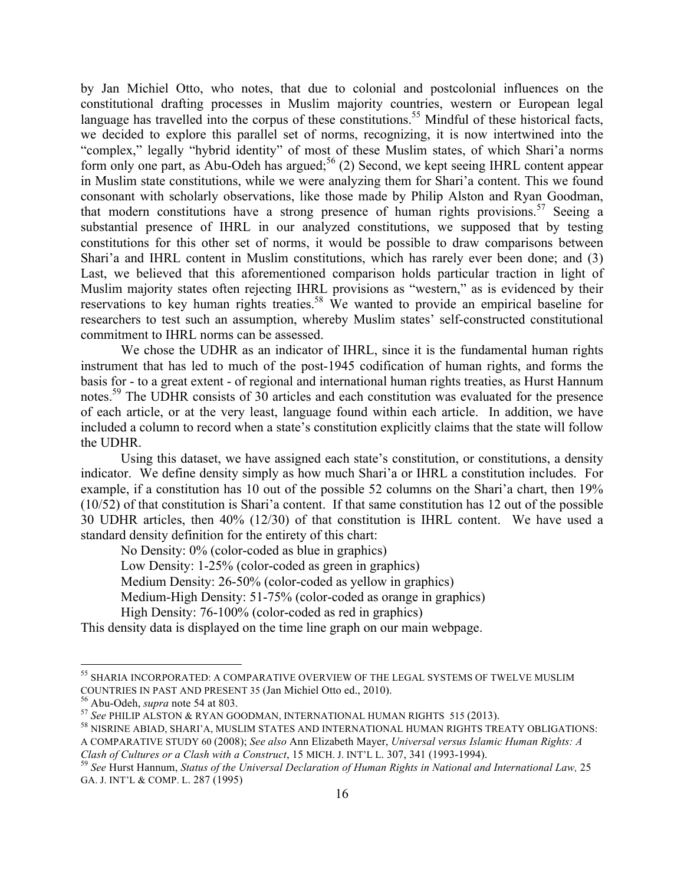by Jan Michiel Otto, who notes, that due to colonial and postcolonial influences on the constitutional drafting processes in Muslim majority countries, western or European legal language has travelled into the corpus of these constitutions.<sup>55</sup> Mindful of these historical facts, we decided to explore this parallel set of norms, recognizing, it is now intertwined into the "complex," legally "hybrid identity" of most of these Muslim states, of which Shari'a norms form only one part, as Abu-Odeh has argued;<sup>56</sup> (2) Second, we kept seeing IHRL content appear in Muslim state constitutions, while we were analyzing them for Shari'a content. This we found consonant with scholarly observations, like those made by Philip Alston and Ryan Goodman, that modern constitutions have a strong presence of human rights provisions.<sup>57</sup> Seeing a substantial presence of IHRL in our analyzed constitutions, we supposed that by testing constitutions for this other set of norms, it would be possible to draw comparisons between Shari'a and IHRL content in Muslim constitutions, which has rarely ever been done; and (3) Last, we believed that this aforementioned comparison holds particular traction in light of Muslim majority states often rejecting IHRL provisions as "western," as is evidenced by their reservations to key human rights treaties.<sup>58</sup> We wanted to provide an empirical baseline for researchers to test such an assumption, whereby Muslim states' self-constructed constitutional commitment to IHRL norms can be assessed.

We chose the UDHR as an indicator of IHRL, since it is the fundamental human rights instrument that has led to much of the post-1945 codification of human rights, and forms the basis for - to a great extent - of regional and international human rights treaties, as Hurst Hannum notes.<sup>59</sup> The UDHR consists of 30 articles and each constitution was evaluated for the presence of each article, or at the very least, language found within each article. In addition, we have included a column to record when a state's constitution explicitly claims that the state will follow the UDHR.

Using this dataset, we have assigned each state's constitution, or constitutions, a density indicator. We define density simply as how much Shari'a or IHRL a constitution includes. For example, if a constitution has 10 out of the possible 52 columns on the Shari'a chart, then 19% (10/52) of that constitution is Shari'a content. If that same constitution has 12 out of the possible 30 UDHR articles, then 40% (12/30) of that constitution is IHRL content. We have used a standard density definition for the entirety of this chart:

No Density: 0% (color-coded as blue in graphics)

Low Density: 1-25% (color-coded as green in graphics)

Medium Density: 26-50% (color-coded as yellow in graphics)

Medium-High Density: 51-75% (color-coded as orange in graphics)

High Density: 76-100% (color-coded as red in graphics)

This density data is displayed on the time line graph on our main webpage.

 <sup>55</sup> SHARIA INCORPORATED: A COMPARATIVE OVERVIEW OF THE LEGAL SYSTEMS OF TWELVE MUSLIM COUNTRIES IN PAST AND PRESENT 35 (Jan Michiel Otto ed., 2010).<br><sup>56</sup> Abu-Odeh, *supra* note 54 at 803.<br><sup>57</sup> See PHILIP ALSTON & RYAN GOODMAN, INTERNATIONAL HUMAN RIGHTS 515 (2013).<br><sup>58</sup> NISRINE ABIAD, SHARI'A, MUSLIM STATES

A COMPARATIVE STUDY 60 (2008); *See also* Ann Elizabeth Mayer, *Universal versus Islamic Human Rights: A* 

Clash of Cultures or a Clash with a Construct, 15 MICH. J. INT'L L. 307, 341 (1993-1994).<br><sup>59</sup> See Hurst Hannum, Status of the Universal Declaration of Human Rights in National and International Law, 25 GA. J. INT'L & COMP. L. 287 (1995)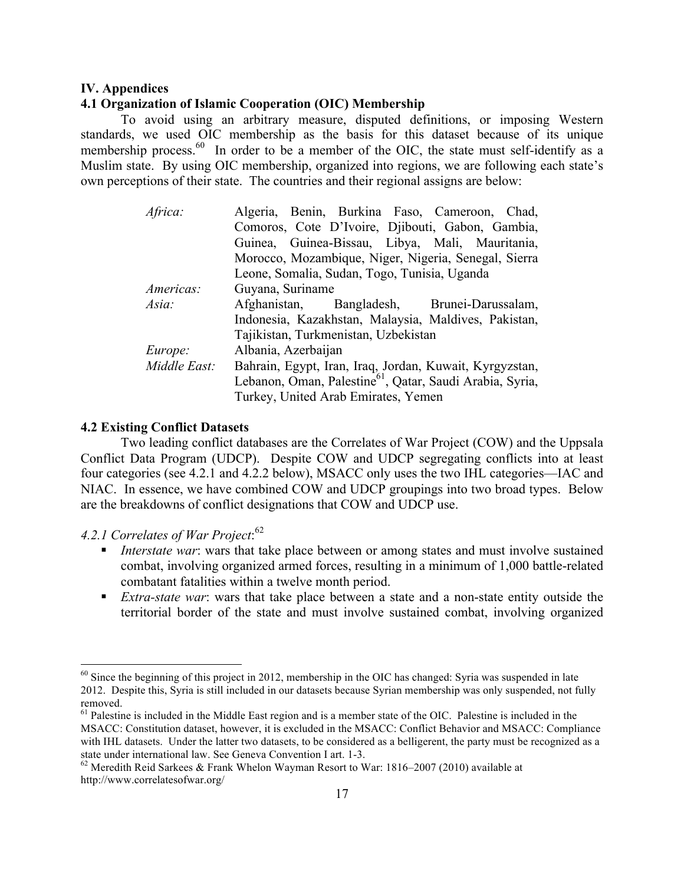### **IV. Appendices**

## **4.1 Organization of Islamic Cooperation (OIC) Membership**

To avoid using an arbitrary measure, disputed definitions, or imposing Western standards, we used OIC membership as the basis for this dataset because of its unique membership process.<sup>60</sup> In order to be a member of the OIC, the state must self-identify as a Muslim state. By using OIC membership, organized into regions, we are following each state's own perceptions of their state. The countries and their regional assigns are below:

| Africa:      | Algeria, Benin, Burkina Faso, Cameroon, Chad,                        |
|--------------|----------------------------------------------------------------------|
|              | Comoros, Cote D'Ivoire, Djibouti, Gabon, Gambia,                     |
|              | Guinea, Guinea-Bissau, Libya, Mali, Mauritania,                      |
|              | Morocco, Mozambique, Niger, Nigeria, Senegal, Sierra                 |
|              | Leone, Somalia, Sudan, Togo, Tunisia, Uganda                         |
| Americas:    | Guyana, Suriname                                                     |
| Asia:        | Afghanistan, Bangladesh, Brunei-Darussalam,                          |
|              | Indonesia, Kazakhstan, Malaysia, Maldives, Pakistan,                 |
|              | Tajikistan, Turkmenistan, Uzbekistan                                 |
| Europe:      | Albania, Azerbaijan                                                  |
| Middle East: | Bahrain, Egypt, Iran, Iraq, Jordan, Kuwait, Kyrgyzstan,              |
|              | Lebanon, Oman, Palestine <sup>61</sup> , Qatar, Saudi Arabia, Syria, |
|              | Turkey, United Arab Emirates, Yemen                                  |

#### **4.2 Existing Conflict Datasets**

Two leading conflict databases are the Correlates of War Project (COW) and the Uppsala Conflict Data Program (UDCP). Despite COW and UDCP segregating conflicts into at least four categories (see 4.2.1 and 4.2.2 below), MSACC only uses the two IHL categories—IAC and NIAC. In essence, we have combined COW and UDCP groupings into two broad types. Below are the breakdowns of conflict designations that COW and UDCP use.

# *4.2.1 Correlates of War Project*: 62

- ! *Interstate war*: wars that take place between or among states and must involve sustained combat, involving organized armed forces, resulting in a minimum of 1,000 battle-related combatant fatalities within a twelve month period.
- ! *Extra-state war*: wars that take place between a state and a non-state entity outside the territorial border of the state and must involve sustained combat, involving organized

<sup>&</sup>lt;sup>60</sup> Since the beginning of this project in 2012, membership in the OIC has changed: Syria was suspended in late 2012. Despite this, Syria is still included in our datasets because Syrian membership was only suspended, not fully removed.

<sup>&</sup>lt;sup>61</sup> Palestine is included in the Middle East region and is a member state of the OIC. Palestine is included in the MSACC: Constitution dataset, however, it is excluded in the MSACC: Conflict Behavior and MSACC: Compliance with IHL datasets. Under the latter two datasets, to be considered as a belligerent, the party must be recognized as a state under international law. See Geneva Convention I art. 1-3.<br><sup>62</sup> Meredith Reid Sarkees & Frank Whelon Wayman Resort to War: 1816–2007 (2010) available at

http://www.correlatesofwar.org/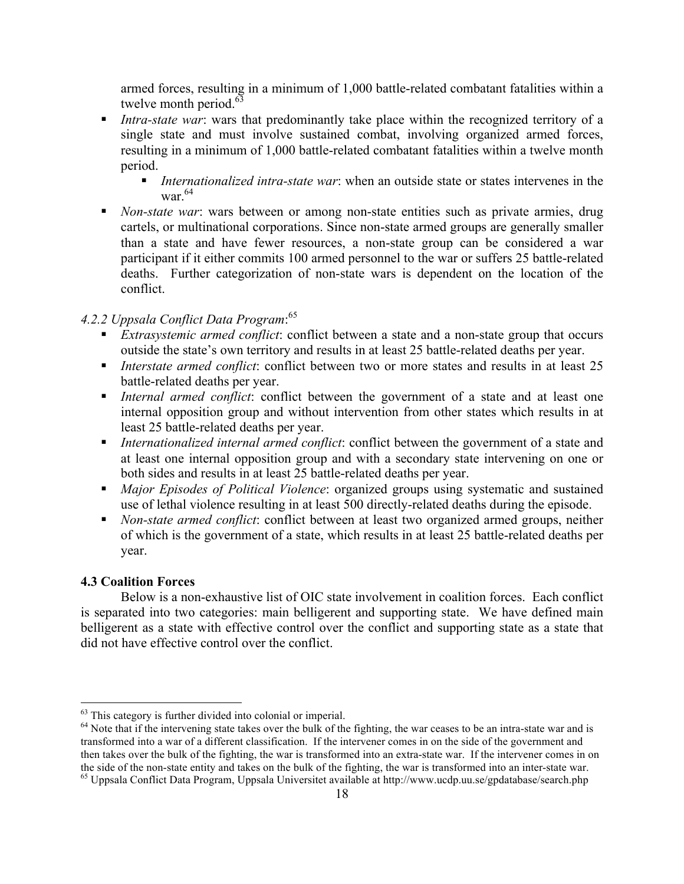armed forces, resulting in a minimum of 1,000 battle-related combatant fatalities within a twelve month period. $63$ 

- ! *Intra-state war*: wars that predominantly take place within the recognized territory of a single state and must involve sustained combat, involving organized armed forces, resulting in a minimum of 1,000 battle-related combatant fatalities within a twelve month period.
	- ! *Internationalized intra-state war*: when an outside state or states intervenes in the war. $64$
- ! *Non-state war*: wars between or among non-state entities such as private armies, drug cartels, or multinational corporations. Since non-state armed groups are generally smaller than a state and have fewer resources, a non-state group can be considered a war participant if it either commits 100 armed personnel to the war or suffers 25 battle-related deaths. Further categorization of non-state wars is dependent on the location of the conflict.

# *4.2.2 Uppsala Conflict Data Program*: 65

- *Extrasystemic armed conflict*: conflict between a state and a non-state group that occurs outside the state's own territory and results in at least 25 battle-related deaths per year.
- ! *Interstate armed conflict*: conflict between two or more states and results in at least 25 battle-related deaths per year.
- ! *Internal armed conflict*: conflict between the government of a state and at least one internal opposition group and without intervention from other states which results in at least 25 battle-related deaths per year.
- ! *Internationalized internal armed conflict*: conflict between the government of a state and at least one internal opposition group and with a secondary state intervening on one or both sides and results in at least 25 battle-related deaths per year.
- ! *Major Episodes of Political Violence*: organized groups using systematic and sustained use of lethal violence resulting in at least 500 directly-related deaths during the episode.
- ! *Non-state armed conflict*: conflict between at least two organized armed groups, neither of which is the government of a state, which results in at least 25 battle-related deaths per year.

## **4.3 Coalition Forces**

Below is a non-exhaustive list of OIC state involvement in coalition forces. Each conflict is separated into two categories: main belligerent and supporting state. We have defined main belligerent as a state with effective control over the conflict and supporting state as a state that did not have effective control over the conflict.

 $63$  This category is further divided into colonial or imperial.<br> $64$  Note that if the intervening state takes over the bulk of the fighting, the war ceases to be an intra-state war and is transformed into a war of a different classification. If the intervener comes in on the side of the government and then takes over the bulk of the fighting, the war is transformed into an extra-state war. If the intervener comes in on the side of the non-state entity and takes on the bulk of the fighting, the war is transformed into an 65 Uppsala Conflict Data Program, Uppsala Universitet available at http://www.ucdp.uu.se/gpdatabase/search.php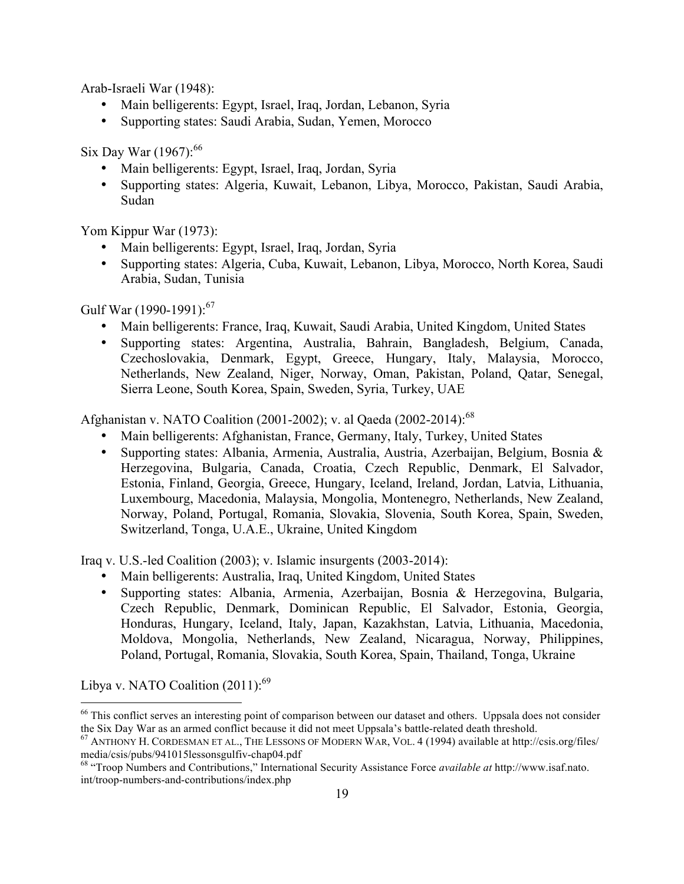Arab-Israeli War (1948):

- Main belligerents: Egypt, Israel, Iraq, Jordan, Lebanon, Syria
- Supporting states: Saudi Arabia, Sudan, Yemen, Morocco

Six Day War (1967):<sup>66</sup>

- Main belligerents: Egypt, Israel, Iraq, Jordan, Syria
- Supporting states: Algeria, Kuwait, Lebanon, Libya, Morocco, Pakistan, Saudi Arabia, Sudan

Yom Kippur War (1973):

- Main belligerents: Egypt, Israel, Iraq, Jordan, Syria
- Supporting states: Algeria, Cuba, Kuwait, Lebanon, Libya, Morocco, North Korea, Saudi Arabia, Sudan, Tunisia

Gulf War (1990-1991): $67$ 

- Main belligerents: France, Iraq, Kuwait, Saudi Arabia, United Kingdom, United States
- Supporting states: Argentina, Australia, Bahrain, Bangladesh, Belgium, Canada, Czechoslovakia, Denmark, Egypt, Greece, Hungary, Italy, Malaysia, Morocco, Netherlands, New Zealand, Niger, Norway, Oman, Pakistan, Poland, Qatar, Senegal, Sierra Leone, South Korea, Spain, Sweden, Syria, Turkey, UAE

Afghanistan v. NATO Coalition (2001-2002); v. al Qaeda (2002-2014):<sup>68</sup>

- Main belligerents: Afghanistan, France, Germany, Italy, Turkey, United States
- Supporting states: Albania, Armenia, Australia, Austria, Azerbaijan, Belgium, Bosnia & Herzegovina, Bulgaria, Canada, Croatia, Czech Republic, Denmark, El Salvador, Estonia, Finland, Georgia, Greece, Hungary, Iceland, Ireland, Jordan, Latvia, Lithuania, Luxembourg, Macedonia, Malaysia, Mongolia, Montenegro, Netherlands, New Zealand, Norway, Poland, Portugal, Romania, Slovakia, Slovenia, South Korea, Spain, Sweden, Switzerland, Tonga, U.A.E., Ukraine, United Kingdom

Iraq v. U.S.-led Coalition (2003); v. Islamic insurgents (2003-2014):

- Main belligerents: Australia, Iraq, United Kingdom, United States
- Supporting states: Albania, Armenia, Azerbaijan, Bosnia & Herzegovina, Bulgaria, Czech Republic, Denmark, Dominican Republic, El Salvador, Estonia, Georgia, Honduras, Hungary, Iceland, Italy, Japan, Kazakhstan, Latvia, Lithuania, Macedonia, Moldova, Mongolia, Netherlands, New Zealand, Nicaragua, Norway, Philippines, Poland, Portugal, Romania, Slovakia, South Korea, Spain, Thailand, Tonga, Ukraine

Libya v. NATO Coalition  $(2011)$ :<sup>69</sup>

<sup>&</sup>lt;sup>66</sup> This conflict serves an interesting point of comparison between our dataset and others. Uppsala does not consider the Six Day War as an armed conflict because it did not meet Uppsala's battle-related death threshold.<br><sup>67</sup> ANTHONY H. CORDESMAN ET AL., THE LESSONS OF MODERN WAR, VOL. 4 (1994) available at http://csis.org/files/

media/csis/pubs/941015lessonsgulfiv-chap04.pdf<br><sup>68</sup> "Troop Numbers and Contributions," International Security Assistance Force *available at* http://www.isaf.nato.

int/troop-numbers-and-contributions/index.php